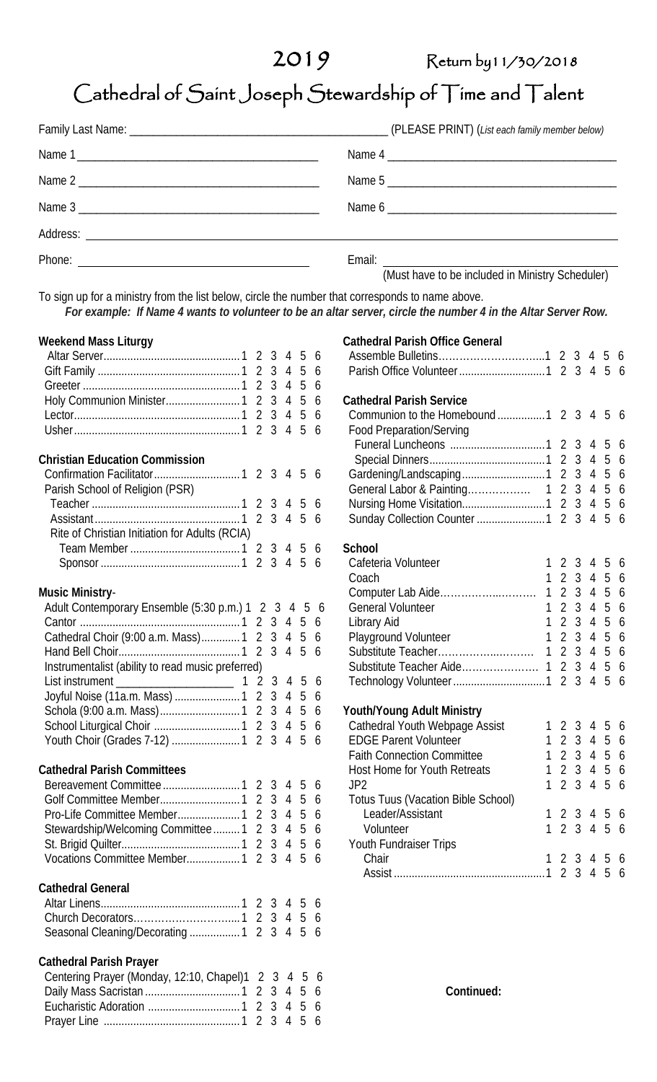## 2019 Return by 11/30/2018

# Cathedral of Saint Joseph Stewardship of Time and Talent

| Name 1 |                                                  |
|--------|--------------------------------------------------|
| Name 2 | Name 5                                           |
| Name 3 |                                                  |
|        |                                                  |
|        | (Must have to be included in Ministry Scheduler) |

(Must have to be included in Ministry Scheduler)

**Cathedral Parish Office General**

To sign up for a ministry from the list below, circle the number that corresponds to name above.  *For example: If Name 4 wants to volunteer to be an altar server, circle the number 4 in the Altar Server Row.*

#### **Weekend Mass Liturgy**

#### **Christian Education Commission**

| onnaudi Luuvuuvii oviiiilijaidil               |  |  |  |
|------------------------------------------------|--|--|--|
|                                                |  |  |  |
| Parish School of Religion (PSR)                |  |  |  |
|                                                |  |  |  |
|                                                |  |  |  |
| Rite of Christian Initiation for Adults (RCIA) |  |  |  |
|                                                |  |  |  |
|                                                |  |  |  |

#### **Music Ministry**-

| Adult Contemporary Ensemble (5:30 p.m.) 1 2 3 4 5 6 |  |  |  |
|-----------------------------------------------------|--|--|--|
|                                                     |  |  |  |
| Cathedral Choir (9:00 a.m. Mass) 1 2 3 4 5 6        |  |  |  |
|                                                     |  |  |  |
| Instrumentalist (ability to read music preferred)   |  |  |  |
|                                                     |  |  |  |
| Joyful Noise (11a.m. Mass)  1 2 3 4 5 6             |  |  |  |
|                                                     |  |  |  |
|                                                     |  |  |  |
| Youth Choir (Grades 7-12)  1 2 3 4 5 6              |  |  |  |

### **Cathedral Parish Committees**

| Stewardship/Welcoming Committee 1 2 3 4 5 6 |  |  |  |
|---------------------------------------------|--|--|--|
|                                             |  |  |  |
|                                             |  |  |  |

#### **Cathedral General**

| <u>outhouture outbrui</u> |  |  |  |
|---------------------------|--|--|--|
|                           |  |  |  |
|                           |  |  |  |
|                           |  |  |  |

#### **Cathedral Parish Prayer**

| Centering Prayer (Monday, 12:10, Chapel) 1 2 3 4 5 6 |  |  |  |
|------------------------------------------------------|--|--|--|
|                                                      |  |  |  |
|                                                      |  |  |  |
|                                                      |  |  |  |

| Parish Office Volunteer1                  | 2<br>$\overline{2}$              | 3<br>$\overline{3}$              | 4<br>$\overline{4}$              | 5<br>5 | 6<br>6 |
|-------------------------------------------|----------------------------------|----------------------------------|----------------------------------|--------|--------|
| <b>Cathedral Parish Service</b>           |                                  |                                  |                                  |        |        |
| Communion to the Homebound 1              | $\overline{2}$                   | 3                                | $\overline{4}$                   | 5      | 6      |
| <b>Food Preparation/Serving</b>           |                                  |                                  |                                  |        |        |
|                                           | $\overline{2}$                   | 3                                | $\overline{4}$                   | 5      | 6      |
|                                           | $\overline{2}$                   | 3                                | $\overline{4}$                   | 5      | 6      |
| Gardening/Landscaping1                    | $\overline{2}$                   | $\overline{3}$                   | $\overline{4}$                   | 5      | 6      |
|                                           | $\overline{2}$<br>$\overline{2}$ | $\overline{3}$<br>$\overline{3}$ | $\overline{4}$                   | 5      | 6      |
|                                           | $\overline{2}$                   | 3                                | $\overline{4}$<br>$\overline{4}$ | 5<br>5 | 6      |
| Sunday Collection Counter 1               |                                  |                                  |                                  |        | 6      |
| <b>School</b>                             |                                  |                                  |                                  |        |        |
| Cafeteria Volunteer<br>1                  | $\overline{2}$                   | 3                                | $\overline{4}$                   | 5      | 6      |
| 1<br>Coach                                | $\overline{2}$                   | 3                                | $\overline{4}$                   | 5      | 6      |
| $\mathbf{1}$<br>Computer Lab Aide         | $\overline{2}$                   | 3                                | $\overline{4}$                   | 5      | 6      |
| 1<br><b>General Volunteer</b>             | $\overline{2}$                   | 3                                | $\overline{4}$                   | 5      | 6      |
| 1<br>Library Aid                          | $\overline{2}$                   | 3                                | $\overline{4}$                   | 5      | 6      |
| 1<br>Playground Volunteer                 | $\overline{2}$                   | 3                                | $\overline{4}$                   | 5      | 6      |
| Substitute Teacher<br>1                   | $\overline{2}$                   | $\overline{3}$                   | $\overline{4}$                   | 5      | 6      |
|                                           | $\overline{2}$                   | 3                                | 4                                | 5      | 6      |
|                                           | $\overline{\mathcal{L}}$         | 3                                | $\overline{4}$                   | 5      | 6      |
| Youth/Young Adult Ministry                |                                  |                                  |                                  |        |        |
| Cathedral Youth Webpage Assist<br>1       | $\overline{2}$                   | 3                                | 4                                | 5      | 6      |
| <b>EDGE Parent Volunteer</b><br>1         | $\overline{2}$                   | $\overline{3}$                   | $\overline{4}$                   | 5      | 6      |
| 1<br><b>Faith Connection Committee</b>    | $\overline{2}$                   | 3 <sup>1</sup>                   | $\overline{4}$                   | 5      | 6      |
| 1<br><b>Host Home for Youth Retreats</b>  | $\overline{2}$                   | 3                                | $\overline{4}$                   | 5      | 6      |
| 1<br>JP <sub>2</sub>                      | $\overline{2}$                   | 3                                | $\overline{4}$                   | 5      | 6      |
| <b>Totus Tuus (Vacation Bible School)</b> |                                  |                                  |                                  |        |        |
| Leader/Assistant<br>1                     | $\overline{2}$                   | 3                                | 4                                | 5      | 6      |
| 1<br>Volunteer                            | $\overline{2}$                   | 3                                | $\overline{4}$                   | 5      | 6      |
| Youth Fundraiser Trips                    |                                  |                                  |                                  |        |        |
| Chair<br>1                                | $\overline{2}$                   | 3                                | 4                                | 5      | 6      |
|                                           | $\overline{2}$                   | 3                                | $\overline{4}$                   | 5      | 6      |
|                                           |                                  |                                  |                                  |        |        |

 **Continued:**